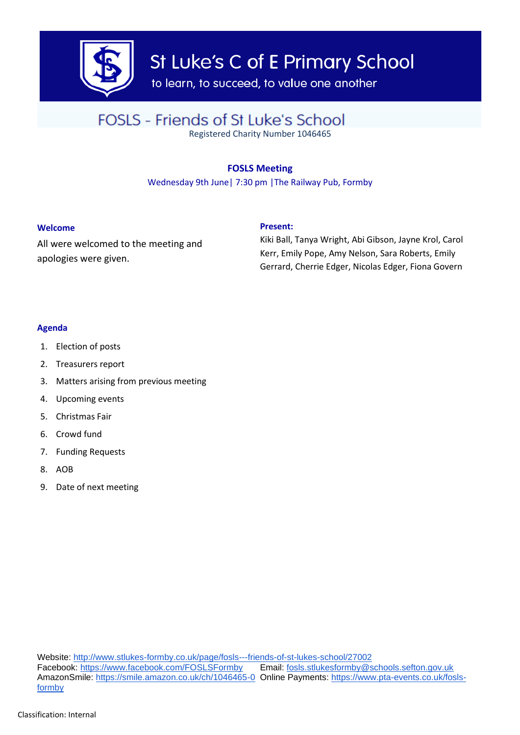

St Luke's C of E Primary School

to learn, to succeed, to value one another

# FOSLS - Friends of St Luke's School

Registered Charity Number 1046465

## **FOSLS Meeting**

Wednesday 9th June| 7:30 pm |The Railway Pub, Formby

### **Welcome**

All were welcomed to the meeting and apologies were given.

### **Present:**

Kiki Ball, Tanya Wright, Abi Gibson, Jayne Krol, Carol Kerr, Emily Pope, Amy Nelson, Sara Roberts, Emily Gerrard, Cherrie Edger, Nicolas Edger, Fiona Govern

### **Agenda**

- 1. Election of posts
- 2. Treasurers report
- 3. Matters arising from previous meeting
- 4. Upcoming events
- 5. Christmas Fair
- 6. Crowd fund
- 7. Funding Requests
- 8. AOB
- 9. Date of next meeting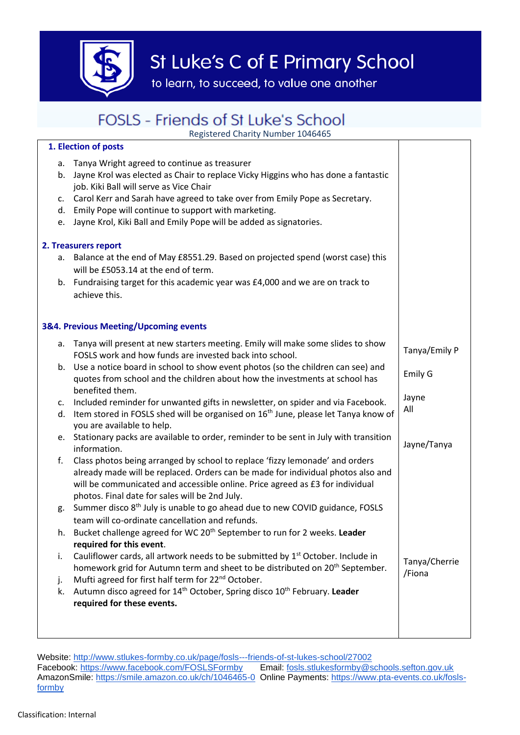

# St Luke's C of E Primary School

to learn, to succeed, to value one another

# FOSLS - Friends of St Luke's School

Registered Charity Number 1046465

## **1. Election of posts**

| c.<br>d.<br>e.                        | a. Tanya Wright agreed to continue as treasurer<br>b. Jayne Krol was elected as Chair to replace Vicky Higgins who has done a fantastic<br>job. Kiki Ball will serve as Vice Chair<br>Carol Kerr and Sarah have agreed to take over from Emily Pope as Secretary.<br>Emily Pope will continue to support with marketing.<br>Jayne Krol, Kiki Ball and Emily Pope will be added as signatories. |                         |
|---------------------------------------|------------------------------------------------------------------------------------------------------------------------------------------------------------------------------------------------------------------------------------------------------------------------------------------------------------------------------------------------------------------------------------------------|-------------------------|
| 2. Treasurers report                  |                                                                                                                                                                                                                                                                                                                                                                                                |                         |
|                                       | a. Balance at the end of May £8551.29. Based on projected spend (worst case) this<br>will be £5053.14 at the end of term.                                                                                                                                                                                                                                                                      |                         |
|                                       | b. Fundraising target for this academic year was £4,000 and we are on track to<br>achieve this.                                                                                                                                                                                                                                                                                                |                         |
| 3&4. Previous Meeting/Upcoming events |                                                                                                                                                                                                                                                                                                                                                                                                |                         |
|                                       | a. Tanya will present at new starters meeting. Emily will make some slides to show<br>FOSLS work and how funds are invested back into school.                                                                                                                                                                                                                                                  | Tanya/Emily P           |
| b.                                    | Use a notice board in school to show event photos (so the children can see) and<br>quotes from school and the children about how the investments at school has<br>benefited them.                                                                                                                                                                                                              | Emily G                 |
| c.                                    | Included reminder for unwanted gifts in newsletter, on spider and via Facebook.                                                                                                                                                                                                                                                                                                                | Jayne                   |
|                                       | d. Item stored in FOSLS shed will be organised on 16 <sup>th</sup> June, please let Tanya know of<br>you are available to help.                                                                                                                                                                                                                                                                | All                     |
|                                       | e. Stationary packs are available to order, reminder to be sent in July with transition<br>information.                                                                                                                                                                                                                                                                                        | Jayne/Tanya             |
| f.                                    | Class photos being arranged by school to replace 'fizzy lemonade' and orders<br>already made will be replaced. Orders can be made for individual photos also and<br>will be communicated and accessible online. Price agreed as £3 for individual<br>photos. Final date for sales will be 2nd July.                                                                                            |                         |
| g.                                    | Summer disco 8 <sup>th</sup> July is unable to go ahead due to new COVID guidance, FOSLS<br>team will co-ordinate cancellation and refunds.                                                                                                                                                                                                                                                    |                         |
|                                       | h. Bucket challenge agreed for WC 20 <sup>th</sup> September to run for 2 weeks. Leader<br>required for this event.                                                                                                                                                                                                                                                                            |                         |
| i.                                    | Cauliflower cards, all artwork needs to be submitted by 1 <sup>st</sup> October. Include in<br>homework grid for Autumn term and sheet to be distributed on 20 <sup>th</sup> September.                                                                                                                                                                                                        | Tanya/Cherrie<br>/Fiona |
| j.                                    | Mufti agreed for first half term for 22 <sup>nd</sup> October.                                                                                                                                                                                                                                                                                                                                 |                         |
| k.                                    | Autumn disco agreed for 14 <sup>th</sup> October, Spring disco 10 <sup>th</sup> February. Leader<br>required for these events.                                                                                                                                                                                                                                                                 |                         |
|                                       |                                                                                                                                                                                                                                                                                                                                                                                                |                         |